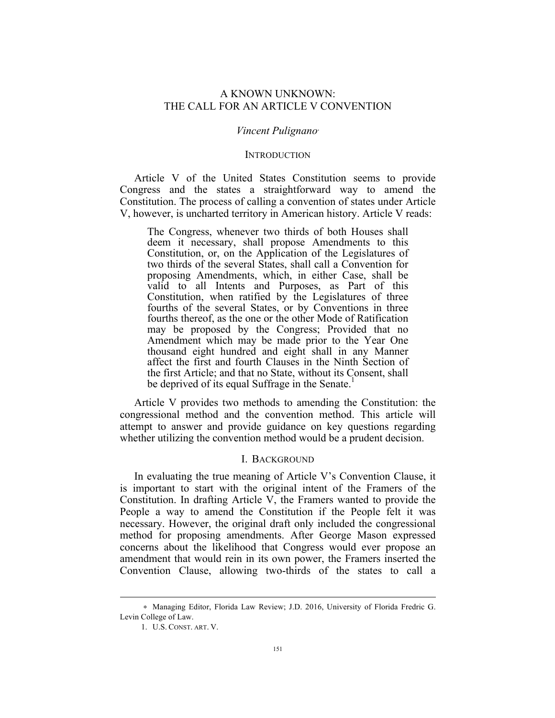# A KNOWN UNKNOWN: THE CALL FOR AN ARTICLE V CONVENTION

#### *Vincent Pulignano*<sup>∗</sup>

#### **INTRODUCTION**

Article V of the United States Constitution seems to provide Congress and the states a straightforward way to amend the Constitution. The process of calling a convention of states under Article V, however, is uncharted territory in American history. Article V reads:

The Congress, whenever two thirds of both Houses shall deem it necessary, shall propose Amendments to this Constitution, or, on the Application of the Legislatures of two thirds of the several States, shall call a Convention for proposing Amendments, which, in either Case, shall be valid to all Intents and Purposes, as Part of this Constitution, when ratified by the Legislatures of three fourths of the several States, or by Conventions in three fourths thereof, as the one or the other Mode of Ratification may be proposed by the Congress; Provided that no Amendment which may be made prior to the Year One thousand eight hundred and eight shall in any Manner affect the first and fourth Clauses in the Ninth Section of the first Article; and that no State, without its Consent, shall be deprived of its equal Suffrage in the Senate.<sup>1</sup>

Article V provides two methods to amending the Constitution: the congressional method and the convention method. This article will attempt to answer and provide guidance on key questions regarding whether utilizing the convention method would be a prudent decision.

# I. BACKGROUND

In evaluating the true meaning of Article V's Convention Clause, it is important to start with the original intent of the Framers of the Constitution. In drafting Article V, the Framers wanted to provide the People a way to amend the Constitution if the People felt it was necessary. However, the original draft only included the congressional method for proposing amendments. After George Mason expressed concerns about the likelihood that Congress would ever propose an amendment that would rein in its own power, the Framers inserted the Convention Clause, allowing two-thirds of the states to call a

1

<sup>∗</sup> Managing Editor, Florida Law Review; J.D. 2016, University of Florida Fredric G. Levin College of Law.

<sup>1.</sup> U.S. CONST. ART. V.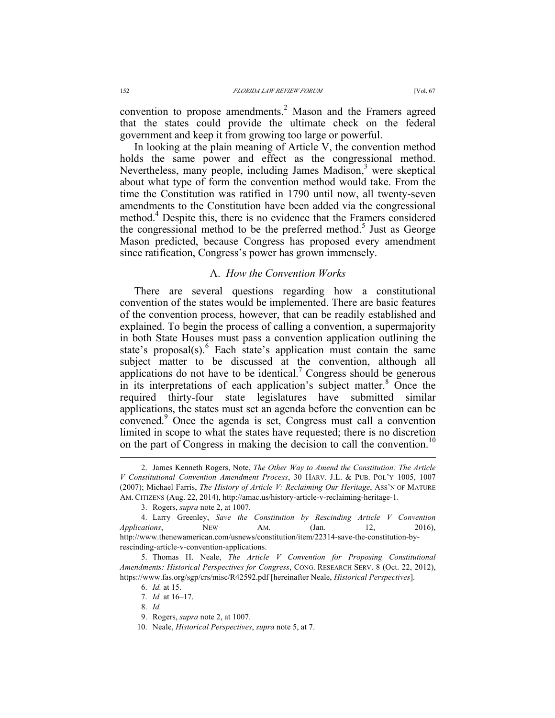convention to propose amendments.<sup>2</sup> Mason and the Framers agreed that the states could provide the ultimate check on the federal government and keep it from growing too large or powerful.

In looking at the plain meaning of Article V, the convention method holds the same power and effect as the congressional method. Nevertheless, many people, including James Madison, $3$  were skeptical about what type of form the convention method would take. From the time the Constitution was ratified in 1790 until now, all twenty-seven amendments to the Constitution have been added via the congressional method.<sup>4</sup> Despite this, there is no evidence that the Framers considered the congressional method to be the preferred method.<sup>5</sup> Just as George Mason predicted, because Congress has proposed every amendment since ratification, Congress's power has grown immensely.

### A. *How the Convention Works*

There are several questions regarding how a constitutional convention of the states would be implemented. There are basic features of the convention process, however, that can be readily established and explained. To begin the process of calling a convention, a supermajority in both State Houses must pass a convention application outlining the state's proposal(s). $\frac{6}{5}$  Each state's application must contain the same subject matter to be discussed at the convention, although all applications do not have to be identical.<sup> $\prime$ </sup> Congress should be generous in its interpretations of each application's subject matter. $8\overline{O}$  Once the required thirty-four state legislatures have submitted similar applications, the states must set an agenda before the convention can be convened.<sup>9</sup> Once the agenda is set, Congress must call a convention limited in scope to what the states have requested; there is no discretion on the part of Congress in making the decision to call the convention.<sup>10</sup>

 <sup>2.</sup> James Kenneth Rogers, Note, *The Other Way to Amend the Constitution: The Article V Constitutional Convention Amendment Process*, 30 HARV. J.L. & PUB. POL'Y 1005, 1007 (2007); Michael Farris, *The History of Article V: Reclaiming Our Heritage*, ASS'N OF MATURE AM. CITIZENS (Aug. 22, 2014), http://amac.us/history-article-v-reclaiming-heritage-1.

<sup>3.</sup> Rogers, *supra* note 2, at 1007.

<sup>4.</sup> Larry Greenley, *Save the Constitution by Rescinding Article V Convention Applications*, NEW AM. (Jan. 12, 2016), http://www.thenewamerican.com/usnews/constitution/item/22314-save-the-constitution-byrescinding-article-v-convention-applications.

<sup>5.</sup> Thomas H. Neale, *The Article V Convention for Proposing Constitutional Amendments: Historical Perspectives for Congress*, CONG. RESEARCH SERV. 8 (Oct. 22, 2012), https://www.fas.org/sgp/crs/misc/R42592.pdf [hereinafter Neale, *Historical Perspectives*].

<sup>6.</sup> *Id.* at 15.

<sup>7.</sup> *Id.* at 16–17.

<sup>8.</sup> *Id.*

<sup>9.</sup> Rogers, *supra* note 2, at 1007.

<sup>10.</sup> Neale, *Historical Perspectives*, *supra* note 5, at 7.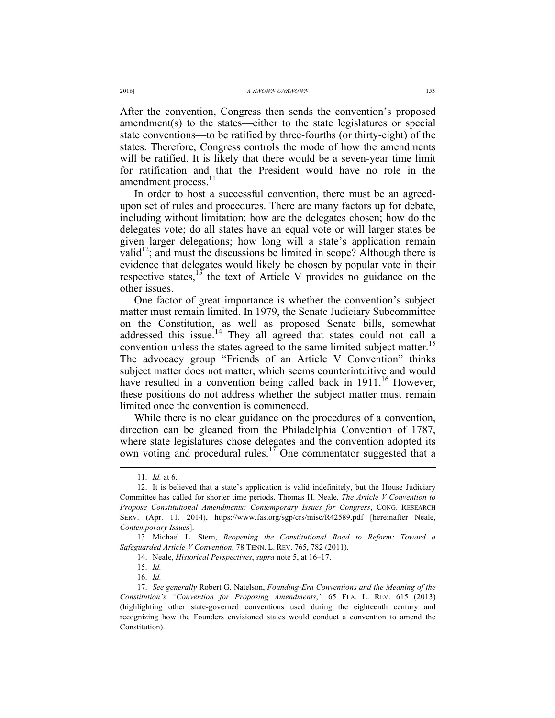After the convention, Congress then sends the convention's proposed amendment(s) to the states—either to the state legislatures or special state conventions—to be ratified by three-fourths (or thirty-eight) of the states. Therefore, Congress controls the mode of how the amendments will be ratified. It is likely that there would be a seven-year time limit for ratification and that the President would have no role in the amendment process.<sup>11</sup>

In order to host a successful convention, there must be an agreedupon set of rules and procedures. There are many factors up for debate, including without limitation: how are the delegates chosen; how do the delegates vote; do all states have an equal vote or will larger states be given larger delegations; how long will a state's application remain valid<sup>12</sup>; and must the discussions be limited in scope? Although there is evidence that delegates would likely be chosen by popular vote in their respective states, $13$  the text of Article V provides no guidance on the other issues.

One factor of great importance is whether the convention's subject matter must remain limited. In 1979, the Senate Judiciary Subcommittee on the Constitution, as well as proposed Senate bills, somewhat addressed this issue.<sup>14</sup> They all agreed that states could not call a convention unless the states agreed to the same limited subject matter.<sup>15</sup> The advocacy group "Friends of an Article V Convention" thinks subject matter does not matter, which seems counterintuitive and would have resulted in a convention being called back in  $1911<sup>16</sup>$  However, these positions do not address whether the subject matter must remain limited once the convention is commenced.

While there is no clear guidance on the procedures of a convention, direction can be gleaned from the Philadelphia Convention of 1787, where state legislatures chose delegates and the convention adopted its own voting and procedural rules.<sup>17</sup> One commentator suggested that a

 <sup>11.</sup> *Id.* at 6.

<sup>12.</sup> It is believed that a state's application is valid indefinitely, but the House Judiciary Committee has called for shorter time periods. Thomas H. Neale, *The Article V Convention to Propose Constitutional Amendments: Contemporary Issues for Congress*, CONG. RESEARCH SERV. (Apr. 11. 2014), https://www.fas.org/sgp/crs/misc/R42589.pdf [hereinafter Neale, *Contemporary Issues*].

<sup>13.</sup> Michael L. Stern, *Reopening the Constitutional Road to Reform: Toward a Safeguarded Article V Convention*, 78 TENN. L. REV. 765, 782 (2011).

<sup>14.</sup> Neale, *Historical Perspectives*, *supra* note 5, at 16–17.

<sup>15.</sup> *Id.*

<sup>16.</sup> *Id.*

<sup>17.</sup> *See generally* Robert G. Natelson, *Founding-Era Conventions and the Meaning of the Constitution's "Convention for Proposing Amendments*,*"* 65 FLA. L. REV. 615 (2013) (highlighting other state-governed conventions used during the eighteenth century and recognizing how the Founders envisioned states would conduct a convention to amend the Constitution).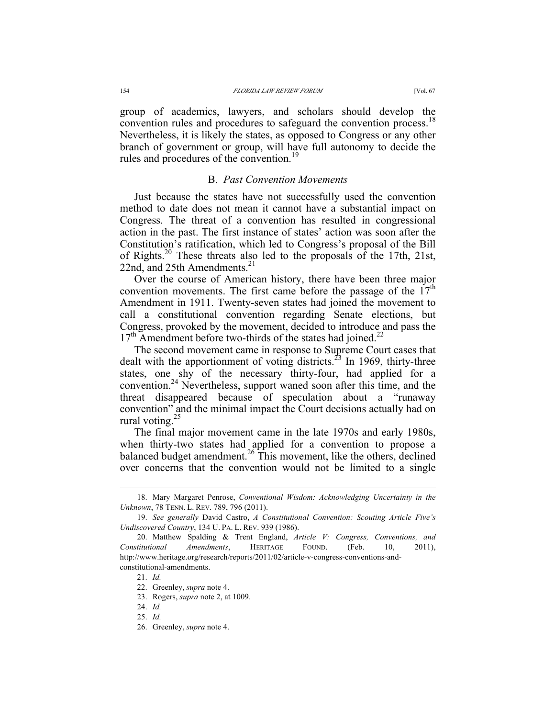group of academics, lawyers, and scholars should develop the convention rules and procedures to safeguard the convention process.<sup>18</sup> Nevertheless, it is likely the states, as opposed to Congress or any other branch of government or group, will have full autonomy to decide the rules and procedures of the convention.<sup>19</sup>

### B. *Past Convention Movements*

Just because the states have not successfully used the convention method to date does not mean it cannot have a substantial impact on Congress. The threat of a convention has resulted in congressional action in the past. The first instance of states' action was soon after the Constitution's ratification, which led to Congress's proposal of the Bill of Rights.<sup>20</sup> These threats also led to the proposals of the 17th, 21st, 22nd, and 25th Amendments. $^{21}$ 

Over the course of American history, there have been three major convention movements. The first came before the passage of the  $17<sup>th</sup>$ Amendment in 1911. Twenty-seven states had joined the movement to call a constitutional convention regarding Senate elections, but Congress, provoked by the movement, decided to introduce and pass the  $17<sup>th</sup>$  Amendment before two-thirds of the states had joined.<sup>22</sup>

The second movement came in response to Supreme Court cases that dealt with the apportionment of voting districts.<sup>23</sup> In 1969, thirty-three states, one shy of the necessary thirty-four, had applied for a convention.<sup>24</sup> Nevertheless, support waned soon after this time, and the threat disappeared because of speculation about a "runaway convention" and the minimal impact the Court decisions actually had on rural voting. $^{25}$ 

The final major movement came in the late 1970s and early 1980s, when thirty-two states had applied for a convention to propose a balanced budget amendment.<sup>26</sup> This movement, like the others, declined over concerns that the convention would not be limited to a single

 <sup>18.</sup> Mary Margaret Penrose, *Conventional Wisdom: Acknowledging Uncertainty in the Unknown*, 78 TENN. L. REV. 789, 796 (2011).

<sup>19.</sup> *See generally* David Castro, *A Constitutional Convention: Scouting Article Five's Undiscovered Country*, 134 U. PA. L. REV. 939 (1986).

<sup>20.</sup> Matthew Spalding & Trent England, *Article V: Congress, Conventions, and Constitutional Amendments*, HERITAGE FOUND. (Feb. 10, 2011), http://www.heritage.org/research/reports/2011/02/article-v-congress-conventions-andconstitutional-amendments.

<sup>21.</sup> *Id.*

<sup>22.</sup> Greenley, *supra* note 4.

<sup>23.</sup> Rogers, *supra* note 2, at 1009.

<sup>24.</sup> *Id.*

<sup>25.</sup> *Id.*

<sup>26.</sup> Greenley, *supra* note 4.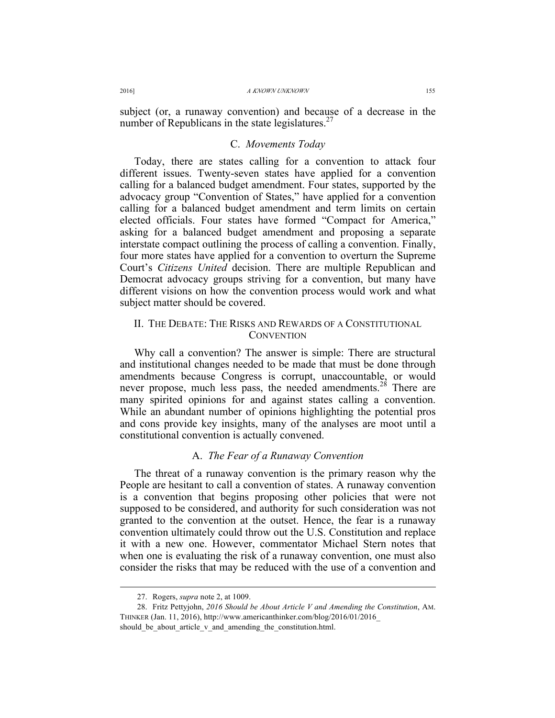subject (or, a runaway convention) and because of a decrease in the number of Republicans in the state legislatures.<sup>27</sup>

## C. *Movements Today*

Today, there are states calling for a convention to attack four different issues. Twenty-seven states have applied for a convention calling for a balanced budget amendment. Four states, supported by the advocacy group "Convention of States," have applied for a convention calling for a balanced budget amendment and term limits on certain elected officials. Four states have formed "Compact for America," asking for a balanced budget amendment and proposing a separate interstate compact outlining the process of calling a convention. Finally, four more states have applied for a convention to overturn the Supreme Court's *Citizens United* decision. There are multiple Republican and Democrat advocacy groups striving for a convention, but many have different visions on how the convention process would work and what subject matter should be covered.

## II. THE DEBATE: THE RISKS AND REWARDS OF A CONSTITUTIONAL **CONVENTION**

Why call a convention? The answer is simple: There are structural and institutional changes needed to be made that must be done through amendments because Congress is corrupt, unaccountable, or would never propose, much less pass, the needed amendments.<sup>28</sup> There are many spirited opinions for and against states calling a convention. While an abundant number of opinions highlighting the potential pros and cons provide key insights, many of the analyses are moot until a constitutional convention is actually convened.

## A. *The Fear of a Runaway Convention*

The threat of a runaway convention is the primary reason why the People are hesitant to call a convention of states. A runaway convention is a convention that begins proposing other policies that were not supposed to be considered, and authority for such consideration was not granted to the convention at the outset. Hence, the fear is a runaway convention ultimately could throw out the U.S. Constitution and replace it with a new one. However, commentator Michael Stern notes that when one is evaluating the risk of a runaway convention, one must also consider the risks that may be reduced with the use of a convention and

 <sup>27.</sup> Rogers, *supra* note 2, at 1009.

<sup>28.</sup> Fritz Pettyjohn, *2016 Should be About Article V and Amending the Constitution*, AM. THINKER (Jan. 11, 2016), http://www.americanthinker.com/blog/2016/01/2016\_ should be about article v and amending the constitution.html.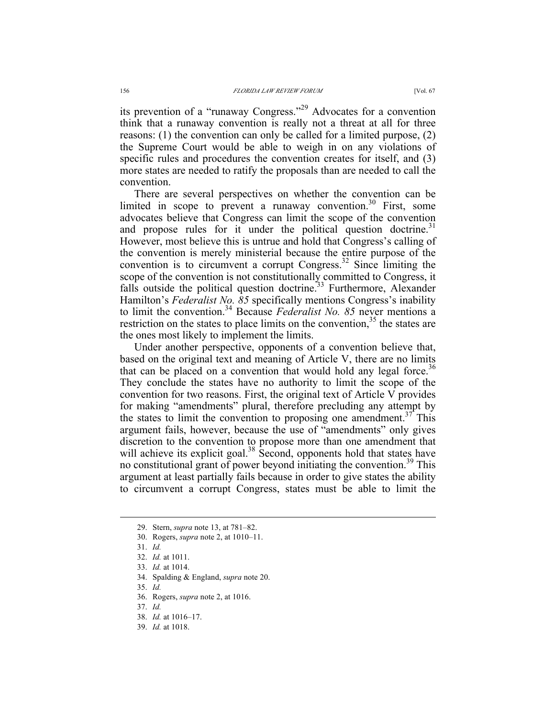its prevention of a "runaway Congress."<sup>29</sup> Advocates for a convention think that a runaway convention is really not a threat at all for three reasons: (1) the convention can only be called for a limited purpose, (2) the Supreme Court would be able to weigh in on any violations of specific rules and procedures the convention creates for itself, and (3) more states are needed to ratify the proposals than are needed to call the convention.

There are several perspectives on whether the convention can be limited in scope to prevent a runaway convention.<sup>30</sup> First, some advocates believe that Congress can limit the scope of the convention and propose rules for it under the political question doctrine.<sup>31</sup> However, most believe this is untrue and hold that Congress's calling of the convention is merely ministerial because the entire purpose of the convention is to circumvent a corrupt Congress.<sup>32</sup> Since limiting the scope of the convention is not constitutionally committed to Congress, it falls outside the political question doctrine.<sup>33</sup> Furthermore, Alexander Hamilton's *Federalist No. 85* specifically mentions Congress's inability to limit the convention.34 Because *Federalist No. 85* never mentions a restriction on the states to place limits on the convention,<sup>35</sup> the states are the ones most likely to implement the limits.

Under another perspective, opponents of a convention believe that, based on the original text and meaning of Article V, there are no limits that can be placed on a convention that would hold any legal force.<sup>36</sup> They conclude the states have no authority to limit the scope of the convention for two reasons. First, the original text of Article V provides for making "amendments" plural, therefore precluding any attempt by the states to limit the convention to proposing one amendment.<sup>37</sup> This argument fails, however, because the use of "amendments" only gives discretion to the convention to propose more than one amendment that will achieve its explicit goal.<sup>38</sup> Second, opponents hold that states have no constitutional grant of power beyond initiating the convention.<sup>39</sup> This argument at least partially fails because in order to give states the ability to circumvent a corrupt Congress, states must be able to limit the

 <sup>29.</sup> Stern, *supra* note 13, at 781–82.

<sup>30.</sup> Rogers, *supra* note 2, at 1010–11.

<sup>31.</sup> *Id.*

<sup>32.</sup> *Id.* at 1011.

<sup>33.</sup> *Id.* at 1014.

<sup>34.</sup> Spalding & England, *supra* note 20.

<sup>35.</sup> *Id.*

<sup>36.</sup> Rogers, *supra* note 2, at 1016.

<sup>37.</sup> *Id.*

<sup>38.</sup> *Id.* at 1016–17.

<sup>39.</sup> *Id.* at 1018.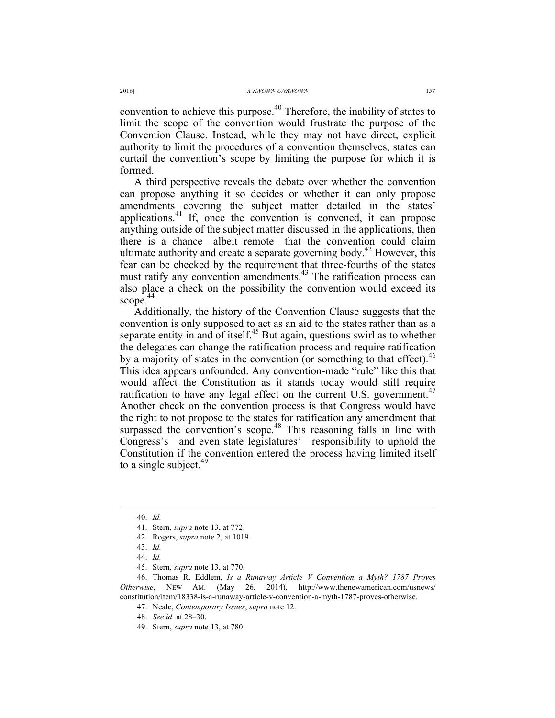convention to achieve this purpose.<sup> $40$ </sup> Therefore, the inability of states to limit the scope of the convention would frustrate the purpose of the Convention Clause. Instead, while they may not have direct, explicit authority to limit the procedures of a convention themselves, states can curtail the convention's scope by limiting the purpose for which it is formed.

A third perspective reveals the debate over whether the convention can propose anything it so decides or whether it can only propose amendments covering the subject matter detailed in the states' applications.<sup>41</sup> If, once the convention is convened, it can propose anything outside of the subject matter discussed in the applications, then there is a chance—albeit remote—that the convention could claim ultimate authority and create a separate governing body.<sup>42</sup> However, this fear can be checked by the requirement that three-fourths of the states must ratify any convention amendments.<sup>43</sup> The ratification process can also place a check on the possibility the convention would exceed its scope.<sup>44</sup>

Additionally, the history of the Convention Clause suggests that the convention is only supposed to act as an aid to the states rather than as a separate entity in and of itself.<sup>45</sup> But again, questions swirl as to whether the delegates can change the ratification process and require ratification by a majority of states in the convention (or something to that effect).<sup>46</sup> This idea appears unfounded. Any convention-made "rule" like this that would affect the Constitution as it stands today would still require ratification to have any legal effect on the current U.S. government.<sup>47</sup> Another check on the convention process is that Congress would have the right to not propose to the states for ratification any amendment that surpassed the convention's scope.<sup>48</sup> This reasoning falls in line with Congress's—and even state legislatures'—responsibility to uphold the Constitution if the convention entered the process having limited itself to a single subject.<sup>49</sup>

 <sup>40.</sup> *Id.*

<sup>41.</sup> Stern, *supra* note 13, at 772.

<sup>42.</sup> Rogers, *supra* note 2, at 1019.

<sup>43.</sup> *Id.*

<sup>44.</sup> *Id.*

<sup>45.</sup> Stern, *supra* note 13, at 770.

<sup>46.</sup> Thomas R. Eddlem, *Is a Runaway Article V Convention a Myth? 1787 Proves Otherwise*, NEW AM. (May 26, 2014), http://www.thenewamerican.com/usnews/ constitution/item/18338-is-a-runaway-article-v-convention-a-myth-1787-proves-otherwise.

<sup>47.</sup> Neale, *Contemporary Issues*, *supra* note 12.

<sup>48.</sup> *See id.* at 28–30.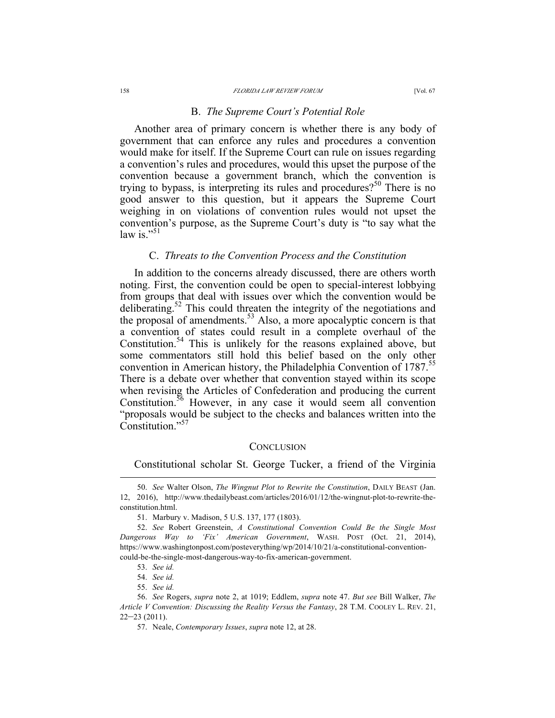#### B. *The Supreme Court's Potential Role*

Another area of primary concern is whether there is any body of government that can enforce any rules and procedures a convention would make for itself. If the Supreme Court can rule on issues regarding a convention's rules and procedures, would this upset the purpose of the convention because a government branch, which the convention is trying to bypass, is interpreting its rules and procedures?<sup>50</sup> There is no good answer to this question, but it appears the Supreme Court weighing in on violations of convention rules would not upset the convention's purpose, as the Supreme Court's duty is "to say what the law is."<sup>51</sup>

#### C. *Threats to the Convention Process and the Constitution*

In addition to the concerns already discussed, there are others worth noting. First, the convention could be open to special-interest lobbying from groups that deal with issues over which the convention would be deliberating.<sup>52</sup> This could threaten the integrity of the negotiations and the proposal of amendments.<sup>53</sup> Also, a more apocalyptic concern is that a convention of states could result in a complete overhaul of the Constitution.<sup>54</sup> This is unlikely for the reasons explained above, but some commentators still hold this belief based on the only other convention in American history, the Philadelphia Convention of 1787.<sup>35</sup> There is a debate over whether that convention stayed within its scope when revising the Articles of Confederation and producing the current Constitution.<sup>56</sup> However, in any case it would seem all convention "proposals would be subject to the checks and balances written into the Constitution."<sup>57</sup>

#### **CONCLUSION**

Constitutional scholar St. George Tucker, a friend of the Virginia

 <sup>50.</sup> *See* Walter Olson, *The Wingnut Plot to Rewrite the Constitution*, DAILY BEAST (Jan. 12, 2016), http://www.thedailybeast.com/articles/2016/01/12/the-wingnut-plot-to-rewrite-theconstitution.html.

<sup>51.</sup> Marbury v. Madison, 5 U.S. 137, 177 (1803).

<sup>52.</sup> *See* Robert Greenstein, *A Constitutional Convention Could Be the Single Most Dangerous Way to 'Fix' American Government*, WASH. POST (Oct. 21, 2014), https://www.washingtonpost.com/posteverything/wp/2014/10/21/a-constitutional-conventioncould-be-the-single-most-dangerous-way-to-fix-american-government.

<sup>53.</sup> *See id.*

<sup>54.</sup> *See id.*

<sup>55.</sup> *See id.*

<sup>56.</sup> *See* Rogers, *supra* note 2, at 1019; Eddlem, *supra* note 47. *But see* Bill Walker, *The Article V Convention: Discussing the Reality Versus the Fantasy*, 28 T.M. COOLEY L. REV. 21,  $22-23(2011)$ .

<sup>57.</sup> Neale, *Contemporary Issues*, *supra* note 12, at 28.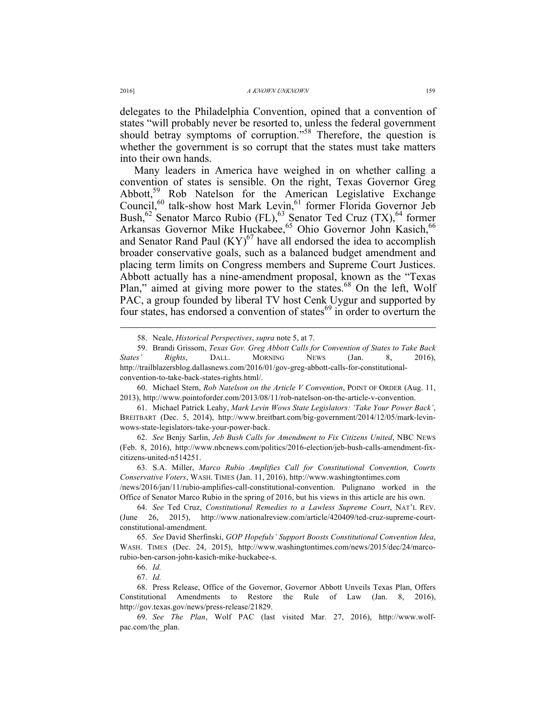delegates to the Philadelphia Convention, opined that a convention of states "will probably never be resorted to, unless the federal government should betray symptoms of corruption.<sup>558</sup> Therefore, the question is whether the government is so corrupt that the states must take matters into their own hands.

Many leaders in America have weighed in on whether calling a convention of states is sensible. On the right, Texas Governor Greg Abbott,<sup>59</sup> Rob Natelson for the American Legislative Exchange Council,<sup>60</sup> talk-show host Mark Levin,<sup>61</sup> former Florida Governor Jeb Bush,<sup>62</sup> Senator Marco Rubio (FL),<sup>63</sup> Senator Ted Cruz (TX),<sup>64</sup> former Arkansas Governor Mike Huckabee,<sup>65</sup> Ohio Governor John Kasich,<sup>66</sup> and Senator Rand Paul  $(KY)^{67}$  have all endorsed the idea to accomplish broader conservative goals, such as a balanced budget amendment and placing term limits on Congress members and Supreme Court Justices. Abbott actually has a nine-amendment proposal, known as the "Texas Plan," aimed at giving more power to the states.<sup>68</sup> On the left, Wolf PAC, a group founded by liberal TV host Cenk Uygur and supported by four states, has endorsed a convention of states<sup>69</sup> in order to overturn the

61. Michael Patrick Leahy, *Mark Levin Wows State Legislators: 'Take Your Power Back'*, BREITBART (Dec. 5, 2014), http://www.breitbart.com/big-government/2014/12/05/mark-levinwows-state-legislators-take-your-power-back.

62. *See* Benjy Sarlin, *Jeb Bush Calls for Amendment to Fix Citizens United*, NBC NEWS (Feb. 8, 2016), http://www.nbcnews.com/politics/2016-election/jeb-bush-calls-amendment-fixcitizens-united-n514251.

63. S.A. Miller, *Marco Rubio Amplifies Call for Constitutional Convention, Courts Conservative Voters*, WASH. TIMES (Jan. 11, 2016), http://www.washingtontimes.com

/news/2016/jan/11/rubio-amplifies-call-constitutional-convention. Pulignano worked in the Office of Senator Marco Rubio in the spring of 2016, but his views in this article are his own.

 <sup>58.</sup> Neale, *Historical Perspectives*, *supra* note 5, at 7.

<sup>59.</sup> Brandi Grissom, *Texas Gov. Greg Abbott Calls for Convention of States to Take Back States' Rights*, DALL. MORNING NEWS (Jan. 8, 2016), http://trailblazersblog.dallasnews.com/2016/01/gov-greg-abbott-calls-for-constitutionalconvention-to-take-back-states-rights.html/.

<sup>60.</sup> Michael Stern, *Rob Natelson on the Article V Convention*, POINT OF ORDER (Aug. 11, 2013), http://www.pointoforder.com/2013/08/11/rob-natelson-on-the-article-v-convention.

<sup>64.</sup> *See* Ted Cruz, *Constitutional Remedies to a Lawless Supreme Court*, NAT'L REV. (June 26, 2015), http://www.nationalreview.com/article/420409/ted-cruz-supreme-courtconstitutional-amendment.

<sup>65.</sup> *See* David Sherfinski, *GOP Hopefuls' Support Boosts Constitutional Convention Idea*, WASH. TIMES (Dec. 24, 2015), http://www.washingtontimes.com/news/2015/dec/24/marcorubio-ben-carson-john-kasich-mike-huckabee-s.

<sup>66.</sup> *Id.*

<sup>67.</sup> *Id.*

<sup>68.</sup> Press Release, Office of the Governor, Governor Abbott Unveils Texas Plan, Offers Constitutional Amendments to Restore the Rule of Law (Jan. 8, 2016), http://gov.texas.gov/news/press-release/21829.

<sup>69.</sup> *See The Plan*, Wolf PAC (last visited Mar. 27, 2016), http://www.wolfpac.com/the\_plan.